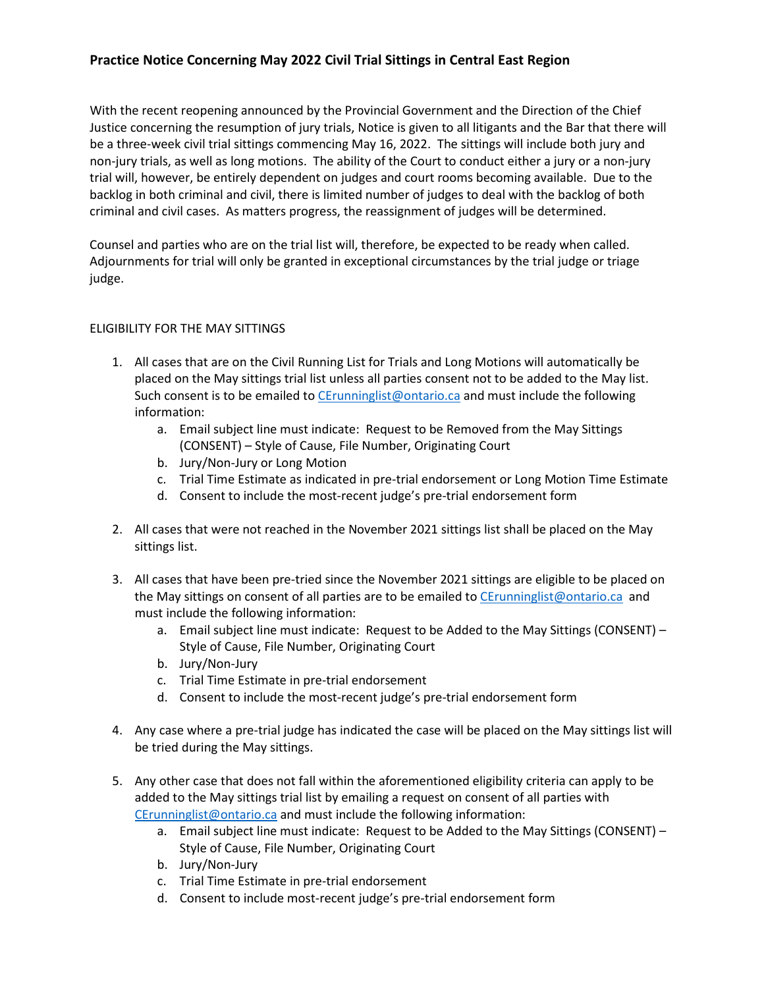## **Practice Notice Concerning May 2022 Civil Trial Sittings in Central East Region**

With the recent reopening announced by the Provincial Government and the Direction of the Chief Justice concerning the resumption of jury trials, Notice is given to all litigants and the Bar that there will be a three-week civil trial sittings commencing May 16, 2022. The sittings will include both jury and non-jury trials, as well as long motions. The ability of the Court to conduct either a jury or a non-jury trial will, however, be entirely dependent on judges and court rooms becoming available. Due to the backlog in both criminal and civil, there is limited number of judges to deal with the backlog of both criminal and civil cases. As matters progress, the reassignment of judges will be determined.

Counsel and parties who are on the trial list will, therefore, be expected to be ready when called. Adjournments for trial will only be granted in exceptional circumstances by the trial judge or triage judge.

## ELIGIBILITY FOR THE MAY SITTINGS

- 1. All cases that are on the Civil Running List for Trials and Long Motions will automatically be placed on the May sittings trial list unless all parties consent not to be added to the May list. Such consent is to be emailed to [CErunninglist@ontario.ca](mailto:CErunninglist@ontario.ca) and must include the following information:
	- a. Email subject line must indicate: Request to be Removed from the May Sittings (CONSENT) – Style of Cause, File Number, Originating Court
	- b. Jury/Non-Jury or Long Motion
	- c. Trial Time Estimate as indicated in pre-trial endorsement or Long Motion Time Estimate
	- d. Consent to include the most-recent judge's pre-trial endorsement form
- 2. All cases that were not reached in the November 2021 sittings list shall be placed on the May sittings list.
- 3. All cases that have been pre-tried since the November 2021 sittings are eligible to be placed on the May sittings on consent of all parties are to be emailed to [CErunninglist@ontario.ca](mailto:CErunninglist@ontario.ca) and must include the following information:
	- a. Email subject line must indicate: Request to be Added to the May Sittings (CONSENT) Style of Cause, File Number, Originating Court
	- b. Jury/Non-Jury
	- c. Trial Time Estimate in pre-trial endorsement
	- d. Consent to include the most-recent judge's pre-trial endorsement form
- 4. Any case where a pre-trial judge has indicated the case will be placed on the May sittings list will be tried during the May sittings.
- 5. Any other case that does not fall within the aforementioned eligibility criteria can apply to be added to the May sittings trial list by emailing a request on consent of all parties with [CErunninglist@ontario.ca](mailto:CErunninglist@ontario.ca) and must include the following information:
	- a. Email subject line must indicate: Request to be Added to the May Sittings (CONSENT) Style of Cause, File Number, Originating Court
	- b. Jury/Non-Jury
	- c. Trial Time Estimate in pre-trial endorsement
	- d. Consent to include most-recent judge's pre-trial endorsement form